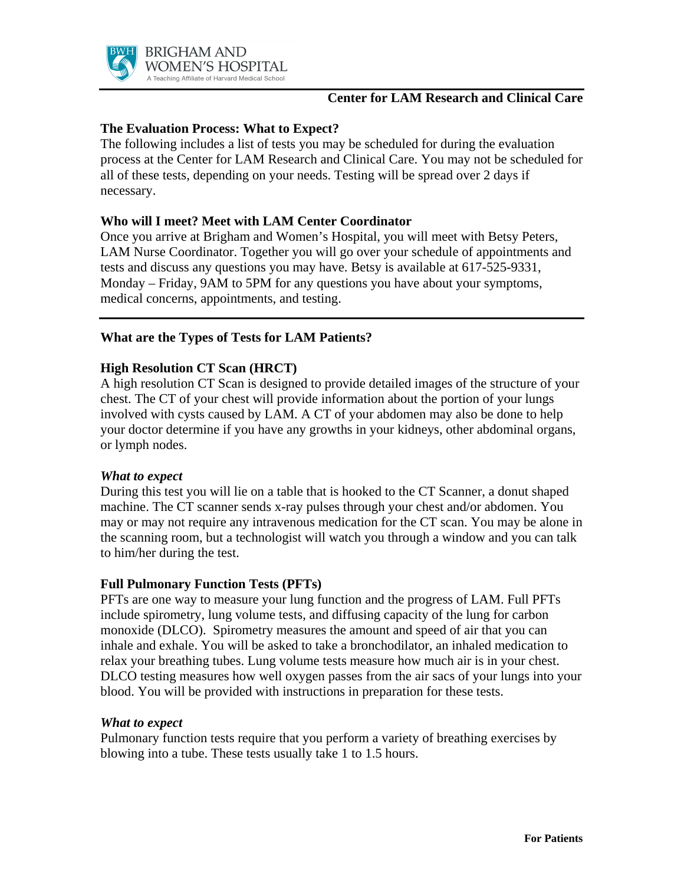

# **Center for LAM Research and Clinical Care**

# **The Evaluation Process: What to Expect?**

The following includes a list of tests you may be scheduled for during the evaluation process at the Center for LAM Research and Clinical Care. You may not be scheduled for all of these tests, depending on your needs. Testing will be spread over 2 days if necessary.

# **Who will I meet? Meet with LAM Center Coordinator**

Once you arrive at Brigham and Women's Hospital, you will meet with Betsy Peters, LAM Nurse Coordinator. Together you will go over your schedule of appointments and tests and discuss any questions you may have. Betsy is available at 617-525-9331, Monday – Friday, 9AM to 5PM for any questions you have about your symptoms, medical concerns, appointments, and testing.

# **What are the Types of Tests for LAM Patients?**

# **High Resolution CT Scan (HRCT)**

A high resolution CT Scan is designed to provide detailed images of the structure of your chest. The CT of your chest will provide information about the portion of your lungs involved with cysts caused by LAM. A CT of your abdomen may also be done to help your doctor determine if you have any growths in your kidneys, other abdominal organs, or lymph nodes.

### *What to expect*

During this test you will lie on a table that is hooked to the CT Scanner, a donut shaped machine. The CT scanner sends x-ray pulses through your chest and/or abdomen. You may or may not require any intravenous medication for the CT scan. You may be alone in the scanning room, but a technologist will watch you through a window and you can talk to him/her during the test.

### **Full Pulmonary Function Tests (PFTs)**

PFTs are one way to measure your lung function and the progress of LAM. Full PFTs include spirometry, lung volume tests, and diffusing capacity of the lung for carbon monoxide (DLCO). Spirometry measures the amount and speed of air that you can inhale and exhale. You will be asked to take a bronchodilator, an inhaled medication to relax your breathing tubes. Lung volume tests measure how much air is in your chest. DLCO testing measures how well oxygen passes from the air sacs of your lungs into your blood. You will be provided with instructions in preparation for these tests.

#### *What to expect*

Pulmonary function tests require that you perform a variety of breathing exercises by blowing into a tube. These tests usually take 1 to 1.5 hours.